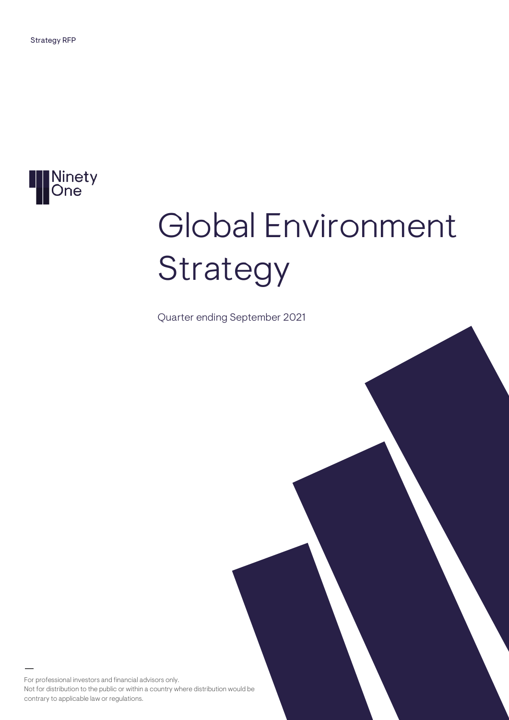

# Global Environment Strategy

Quarter ending September 2021

For professional investors and financial advisors only. Not for distribution to the public or within a country where distribution would be contrary to applicable law or regulations.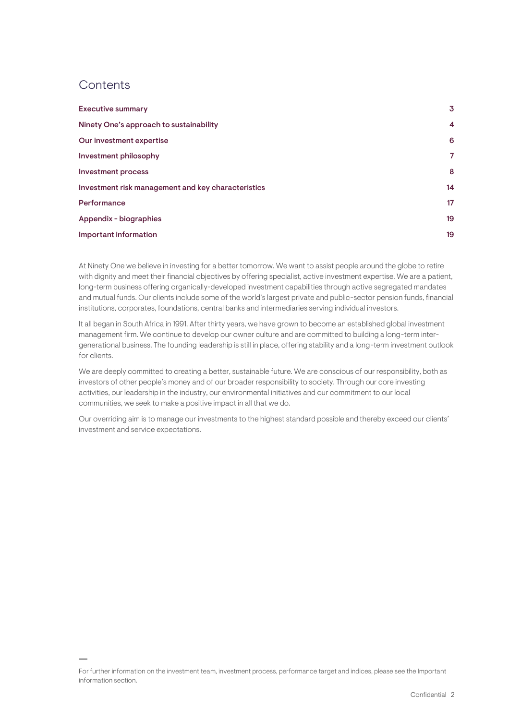# **Contents**

| <b>Executive summary</b>                           | 3  |
|----------------------------------------------------|----|
| Ninety One's approach to sustainability            | 4  |
| Our investment expertise                           | 6  |
| Investment philosophy                              | 7  |
| <b>Investment process</b>                          | 8  |
| Investment risk management and key characteristics | 14 |
| Performance                                        | 17 |
| Appendix - biographies                             | 19 |
| Important information                              | 19 |

At Ninety One we believe in investing for a better tomorrow. We want to assist people around the globe to retire with dignity and meet their financial objectives by offering specialist, active investment expertise. We are a patient, long-term business offering organically-developed investment capabilities through active segregated mandates and mutual funds. Our clients include some of the world's largest private and public-sector pension funds, financial institutions, corporates, foundations, central banks and intermediaries serving individual investors.

It all began in South Africa in 1991. After thirty years, we have grown to become an established global investment management firm. We continue to develop our owner culture and are committed to building a long-term intergenerational business. The founding leadership is still in place, offering stability and a long-term investment outlook for clients.

We are deeply committed to creating a better, sustainable future. We are conscious of our responsibility, both as investors of other people's money and of our broader responsibility to society. Through our core investing activities, our leadership in the industry, our environmental initiatives and our commitment to our local communities, we seek to make a positive impact in all that we do.

Our overriding aim is to manage our investments to the highest standard possible and thereby exceed our clients' investment and service expectations.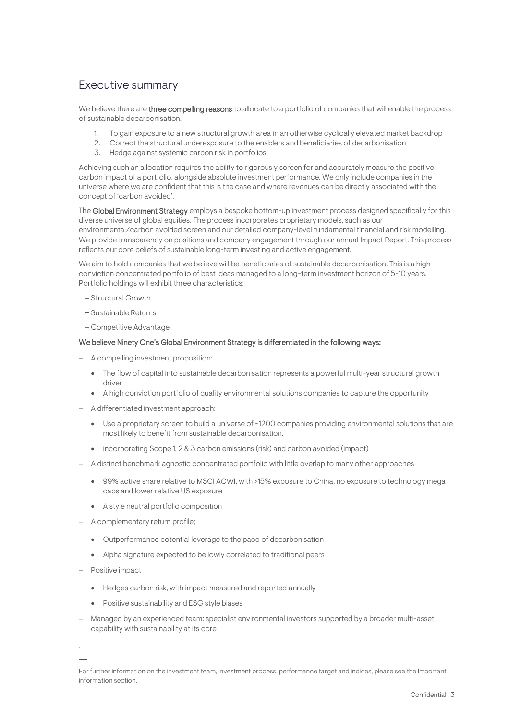# <span id="page-2-0"></span>Executive summary

We believe there are three compelling reasons to allocate to a portfolio of companies that will enable the process of sustainable decarbonisation.

- To gain exposure to a new structural growth area in an otherwise cyclically elevated market backdrop
- 2. Correct the structural underexposure to the enablers and beneficiaries of decarbonisation
- 3. Hedge against systemic carbon risk in portfolios

Achieving such an allocation requires the ability to rigorously screen for and accurately measure the positive carbon impact of a portfolio, alongside absolute investment performance. We only include companies in the universe where we are confident that this is the case and where revenues can be directly associated with the concept of 'carbon avoided'.

The Global Environment Strategy employs a bespoke bottom-up investment process designed specifically for this diverse universe of global equities. The process incorporates proprietary models, such as our environmental/carbon avoided screen and our detailed company-level fundamental financial and risk modelling. We provide transparency on positions and company engagement through our annual Impact Report. This process reflects our core beliefs of sustainable long-term investing and active engagement.

We aim to hold companies that we believe will be beneficiaries of sustainable decarbonisation. This is a high conviction concentrated portfolio of best ideas managed to a long-term investment horizon of 5-10 years. Portfolio holdings will exhibit three characteristics:

- Structural Growth
- Sustainable Returns
- Competitive Advantage

## We believe Ninety One's Global Environment Strategy is differentiated in the following ways:

- − A compelling investment proposition:
	- The flow of capital into sustainable decarbonisation represents a powerful multi-year structural growth driver
	- A high conviction portfolio of quality environmental solutions companies to capture the opportunity
- − A differentiated investment approach:
	- Use a proprietary screen to build a universe of ~1200 companies providing environmental solutions that are most likely to benefit from sustainable decarbonisation,
	- incorporating Scope 1, 2 & 3 carbon emissions (risk) and carbon avoided (impact)
- − A distinct benchmark agnostic concentrated portfolio with little overlap to many other approaches
	- 99% active share relative to MSCI ACWI, with >15% exposure to China, no exposure to technology mega caps and lower relative US exposure
	- A style neutral portfolio composition
- − A complementary return profile;
	- Outperformance potential leverage to the pace of decarbonisation
	- Alpha signature expected to be lowly correlated to traditional peers
- − Positive impact
	- Hedges carbon risk, with impact measured and reported annually
	- Positive sustainability and ESG style biases
- − Managed by an experienced team: specialist environmental investors supported by a broader multi-asset capability with sustainability at its core

<sup>.</sup>

For further information on the investment team, investment process, performance target and indices, please see the Important information section.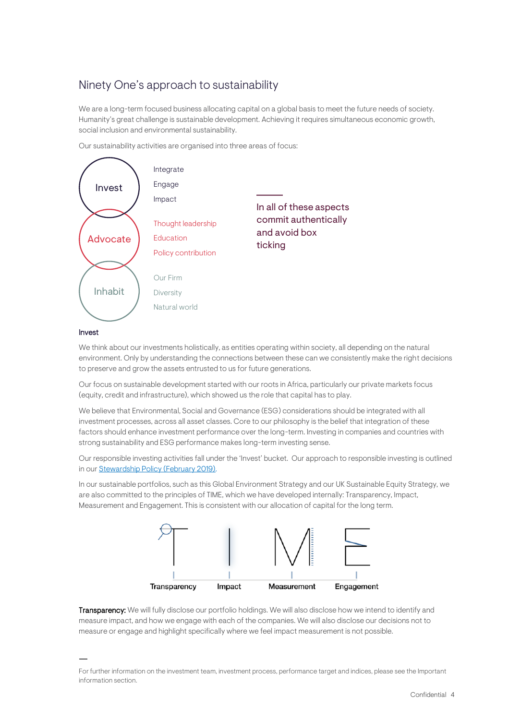# <span id="page-3-0"></span>Ninety One's approach to sustainability

We are a long-term focused business allocating capital on a global basis to meet the future needs of society. Humanity's great challenge is sustainable development. Achieving it requires simultaneous economic growth, social inclusion and environmental sustainability.

Our sustainability activities are organised into three areas of focus:



# Invest

We think about our investments holistically, as entities operating within society, all depending on the natural environment. Only by understanding the connections between these can we consistently make the right decisions to preserve and grow the assets entrusted to us for future generations.

Our focus on sustainable development started with our roots in Africa, particularly our private markets focus (equity, credit and infrastructure), which showed us the role that capital has to play.

We believe that Environmental, Social and Governance (ESG) considerations should be integrated with all investment processes, across all asset classes. Core to our philosophy is the belief that integration of these factors should enhance investment performance over the long-term. Investing in companies and countries with strong sustainability and ESG performance makes long-term investing sense.

Our responsible investing activities fall under the 'Invest' bucket. Our approach to responsible investing is outlined in ou[r Stewardship Policy](https://www.investecassetmanagement.com/united-kingdom/professional-investor/document/pdf/Investec-Stewardship-Policy.pdf) (February 2019).

In our sustainable portfolios, such as this Global Environment Strategy and our UK Sustainable Equity Strategy, we are also committed to the principles of TIME, which we have developed internally: Transparency, Impact, Measurement and Engagement. This is consistent with our allocation of capital for the long term.



Transparency: We will fully disclose our portfolio holdings. We will also disclose how we intend to identify and measure impact, and how we engage with each of the companies. We will also disclose our decisions not to measure or engage and highlight specifically where we feel impact measurement is not possible.

For further information on the investment team, investment process, performance target and indices, please see the Important information section.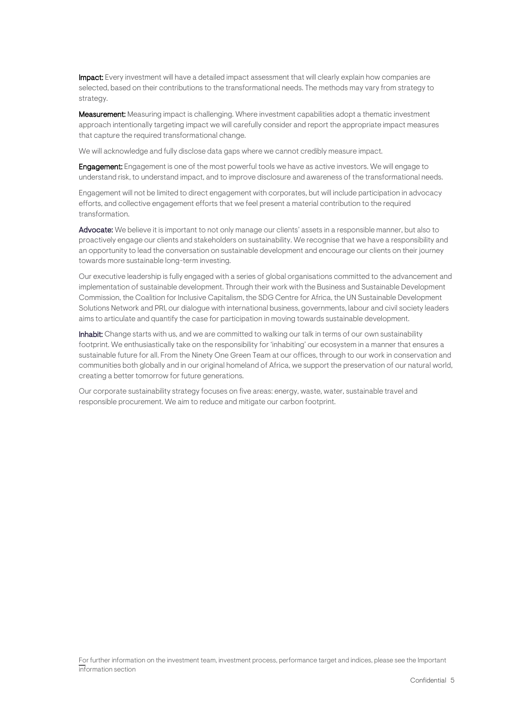Impact: Every investment will have a detailed impact assessment that will clearly explain how companies are selected, based on their contributions to the transformational needs. The methods may vary from strategy to strategy.

Measurement: Measuring impact is challenging. Where investment capabilities adopt a thematic investment approach intentionally targeting impact we will carefully consider and report the appropriate impact measures that capture the required transformational change.

We will acknowledge and fully disclose data gaps where we cannot credibly measure impact.

**Engagement:** Engagement is one of the most powerful tools we have as active investors. We will engage to understand risk, to understand impact, and to improve disclosure and awareness of the transformational needs.

Engagement will not be limited to direct engagement with corporates, but will include participation in advocacy efforts, and collective engagement efforts that we feel present a material contribution to the required transformation.

Advocate: We believe it is important to not only manage our clients' assets in a responsible manner, but also to proactively engage our clients and stakeholders on sustainability. We recognise that we have a responsibility and an opportunity to lead the conversation on sustainable development and encourage our clients on their journey towards more sustainable long-term investing.

Our executive leadership is fully engaged with a series of global organisations committed to the advancement and implementation of sustainable development. Through their work with the Business and Sustainable Development Commission, the Coalition for Inclusive Capitalism, the SDG Centre for Africa, the UN Sustainable Development Solutions Network and PRI, our dialogue with international business, governments, labour and civil society leaders aims to articulate and quantify the case for participation in moving towards sustainable development.

Inhabit: Change starts with us, and we are committed to walking our talk in terms of our own sustainability footprint. We enthusiastically take on the responsibility for 'inhabiting' our ecosystem in a manner that ensures a sustainable future for all. From the Ninety One Green Team at our offices, through to our work in conservation and communities both globally and in our original homeland of Africa, we support the preservation of our natural world, creating a better tomorrow for future generations.

Our corporate sustainability strategy focuses on five areas: energy, waste, water, sustainable travel and responsible procurement. We aim to reduce and mitigate our carbon footprint.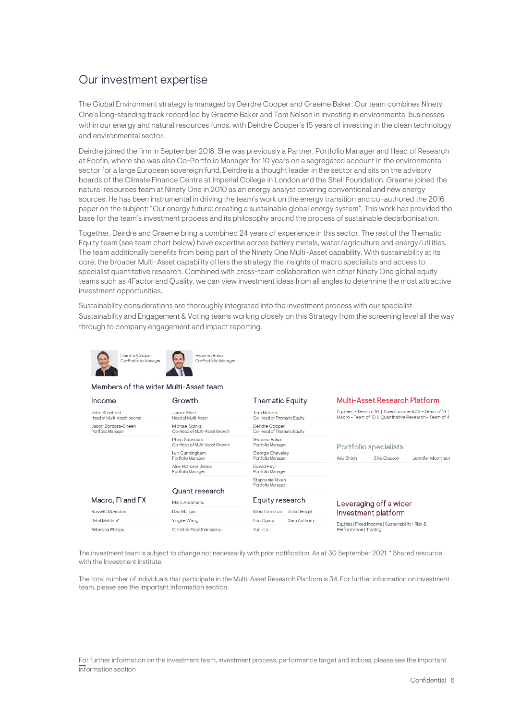# <span id="page-5-0"></span>Our investment expertise

The Global Environment strategy is managed by Deirdre Cooper and Graeme Baker. Our team combines Ninety One's long-standing track record led by Graeme Baker and Tom Nelson in investing in environmental businesses within our energy and natural resources funds, with Deirdre Cooper's 15 years of investing in the clean technology and environmental sector.

Deirdre joined the firm in September 2018. She was previously a Partner, Portfolio Manager and Head of Research at Ecofin, where she was also Co-Portfolio Manager for 10 years on a segregated account in the environmental sector for a large European sovereign fund. Deirdre is a thought leader in the sector and sits on the advisory boards of the Climate Finance Centre at Imperial College in London and the Shell Foundation. Graeme joined the natural resources team at Ninety One in 2010 as an energy analyst covering conventional and new energy sources. He has been instrumental in driving the team's work on the energy transition and co-authored the 2016 paper on the subject: "Our energy future: creating a sustainable global energy system". This work has provided the base for the team's investment process and its philosophy around the process of sustainable decarbonisation.

Together, Deirdre and Graeme bring a combined 24 years of experience in this sector. The rest of the Thematic Equity team (see team chart below) have expertise across battery metals, water/agriculture and energy/utilities. The team additionally benefits from being part of the Ninety One Multi-Asset capability. With sustainability at its core, the broader Multi-Asset capability offers the strategy the insights of macro specialists and access to specialist quantitative research. Combined with cross-team collaboration with other Ninety One global equity teams such as 4Factor and Quality, we can view investment ideas from all angles to determine the most attractive investment opportunities.

Sustainability considerations are thoroughly integrated into the investment process with our specialist Sustainability and Engagement & Voting teams working closely on this Strategy from the screening level all the way through to company engagement and impact reporting.



#### Members of the wider Multi-Asset team

| Income                                      | Growth                                           | <b>Thematic Equity</b>                       | <b>Multi-Asset Research Platform</b>                                                                               |  |
|---------------------------------------------|--------------------------------------------------|----------------------------------------------|--------------------------------------------------------------------------------------------------------------------|--|
| John Stopford<br>Head of Multi-Asset Income | James Filiot<br>Head of Multi-Asset              | Tom Nelson<br>Co-Head of Thematic Equity     | Equities - Team of 16   Fixed Income & FX - Team of 14  <br>Macro - Team of 10   Quantitative Research - Team of 4 |  |
| Jason Borbora-Sheen<br>Portfolio Manager    | Michael Spinks<br>Co-Head of Multi-Asset Growth  | Deirdre Cooper<br>Co-Head of Thematic Equity |                                                                                                                    |  |
|                                             | Philip Saunders<br>Co-Head of Multi-Asset Growth | Graeme Baker<br>Portfolio Manager            | Portfolio specialists                                                                                              |  |
|                                             | Iain Cunningham<br>Portfolio Manager             | George Cheveley<br>Portfolio Manager         | Jennifer Movnihan<br>Atul Shinh<br>Ellie Clapton                                                                   |  |
|                                             | Alex Holrovd-Jones<br>Portfolio Manager          | Dawid Hevl<br>Portfolio Manager              |                                                                                                                    |  |
|                                             |                                                  | Stephanie Niven<br>Portfolio Manager         |                                                                                                                    |  |
| Quant research                              |                                                  |                                              |                                                                                                                    |  |
| Macro, FI and FX                            | Marc Abrahams                                    | Equity research                              | Leveraging off a wider                                                                                             |  |
| Russell Silberston                          | Dan Morgan                                       | Miles Hamilton<br>Arita Sehgal               | investment platform                                                                                                |  |
| Sahil Mahtani*                              | Yingke Wang                                      | Eric Opara<br>Sam Anthony                    | Equities   Fixed Income   Sustainability   Risk &                                                                  |  |
| Rebecca Phillips                            | Christos Papathanassiou                          | Yunli Liu                                    | Performance   Trading                                                                                              |  |

The investment team is subject to change not necessarily with prior notification. As at 30 September 2021. \* Shared resource with the Investment Institute.

The total number of individuals that participate in the Multi-Asset Research Platform is 34. For further information on investment team, please see the Important Information section.

For further information on the investment team, investment process, performance target and indices, please see the Important information section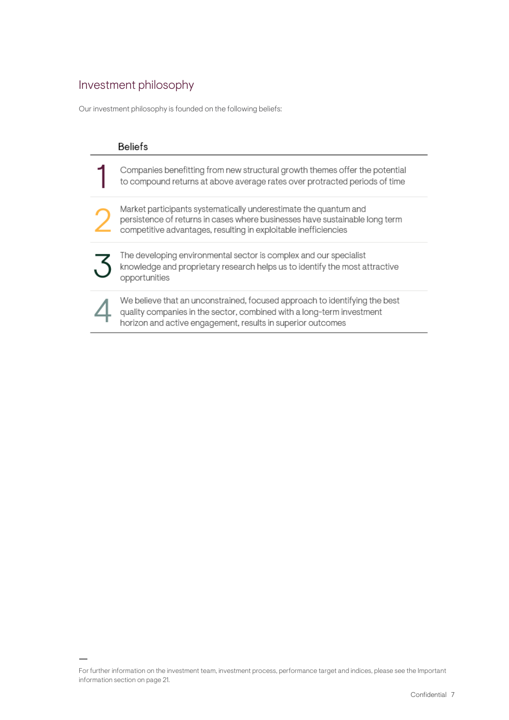# <span id="page-6-0"></span>Investment philosophy

Our investment philosophy is founded on the following beliefs:

| <b>Beliefs</b>                                                                                                                                                                                                     |
|--------------------------------------------------------------------------------------------------------------------------------------------------------------------------------------------------------------------|
| Companies benefitting from new structural growth themes offer the potential<br>to compound returns at above average rates over protracted periods of time                                                          |
| Market participants systematically underestimate the quantum and<br>persistence of returns in cases where businesses have sustainable long term<br>competitive advantages, resulting in exploitable inefficiencies |
| The developing environmental sector is complex and our specialist<br>knowledge and proprietary research helps us to identify the most attractive<br>opportunities                                                  |
| We believe that an unconstrained, focused approach to identifying the best<br>quality companies in the sector, combined with a long-term investment<br>horizon and active engagement, results in superior outcomes |

For further information on the investment team, investment process, performance target and indices, please see the Important information section on page 21.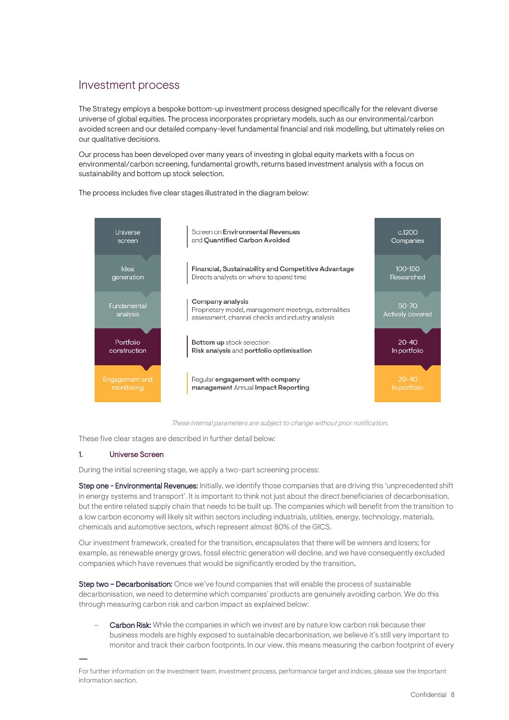# <span id="page-7-0"></span>Investment process

The Strategy employs a bespoke bottom-up investment process designed specifically for the relevant diverse universe of global equities. The process incorporates proprietary models, such as our environmental/carbon avoided screen and our detailed company-level fundamental financial and risk modelling, but ultimately relies on our qualitative decisions.

Our process has been developed over many years of investing in global equity markets with a focus on environmental/carbon screening, fundamental growth, returns based investment analysis with a focus on sustainability and bottom up stock selection.

Screen on Environmental Revenues Universe  $c.1200$ and Quantified Carbon Avoided screen Companies  $100 - 150$ Idea Financial, Sustainability and Competitive Advantage generation Directs analysts on where to spend time Researched Company analysis Fundamental  $50 - 70$ Proprietary model, management meetings, externalities analysis assessment, channel checks and industry analysis Portfolio Bottom up stock selection  $20 - 40$ construction Risk analysis and portfolio optimisation In portfolio Regular engagement with company management Annual Impact Reporting

The process includes five clear stages illustrated in the diagram below:

These internal parameters are subject to change without prior notification.

These five clear stages are described in further detail below:

## 1. Universe Screen

During the initial screening stage, we apply a two-part screening process:

Step one - Environmental Revenues: Initially, we identify those companies that are driving this 'unprecedented shift in energy systems and transport'. It is important to think not just about the direct beneficiaries of decarbonisation, but the entire related supply chain that needs to be built up. The companies which will benefit from the transition to a low carbon economy will likely sit within sectors including industrials, utilities, energy, technology, materials, chemicals and automotive sectors, which represent almost 80% of the GICS.

Our investment framework, created for the transition, encapsulates that there will be winners and losers; for example, as renewable energy grows, fossil electric generation will decline, and we have consequently excluded companies which have revenues that would be significantly eroded by the transition.

Step two - Decarbonisation: Once we've found companies that will enable the process of sustainable decarbonisation, we need to determine which companies' products are genuinely avoiding carbon. We do this through measuring carbon risk and carbon impact as explained below:

Carbon Risk: While the companies in which we invest are by nature low carbon risk because their business models are highly exposed to sustainable decarbonisation, we believe it's still very important to monitor and track their carbon footprints. In our view, this means measuring the carbon footprint of every

For further information on the investment team, investment process, performance target and indices, please see the Important information section.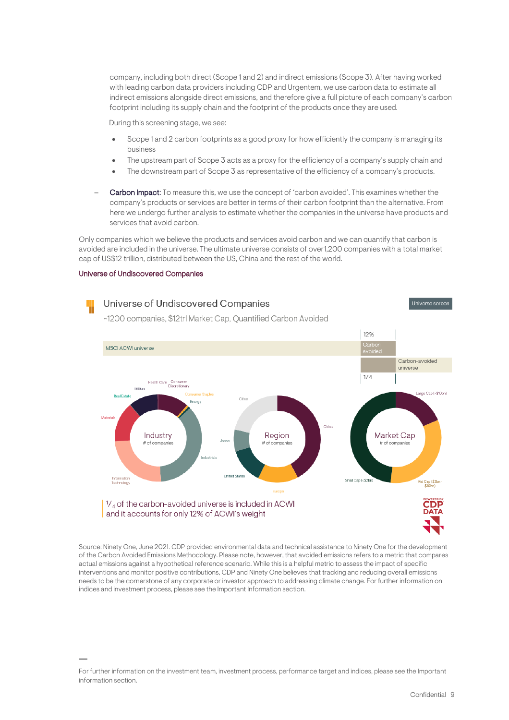company, including both direct (Scope 1 and 2) and indirect emissions (Scope 3). After having worked with leading carbon data providers including CDP and Urgentem, we use carbon data to estimate all indirect emissions alongside direct emissions, and therefore give a full picture of each company's carbon footprint including its supply chain and the footprint of the products once they are used.

During this screening stage, we see:

- Scope 1 and 2 carbon footprints as a good proxy for how efficiently the company is managing its business
- The upstream part of Scope 3 acts as a proxy for the efficiency of a company's supply chain and
- The downstream part of Scope 3 as representative of the efficiency of a company's products.
- Carbon Impact: To measure this, we use the concept of 'carbon avoided'. This examines whether the company's products or services are better in terms of their carbon footprint than the alternative. From here we undergo further analysis to estimate whether the companies in the universe have products and services that avoid carbon.

Only companies which we believe the products and services avoid carbon and we can quantify that carbon is avoided are included in the universe. The ultimate universe consists of over1,200 companies with a total market cap of US\$12 trillion, distributed between the US, China and the rest of the world.

#### Universe of Undiscovered Companies



Source: Ninety One, June 2021. CDP provided environmental data and technical assistance to Ninety One for the development of the Carbon Avoided Emissions Methodology. Please note, however, that avoided emissions refers to a metric that compares actual emissions against a hypothetical reference scenario. While this is a helpful metric to assess the impact of specific interventions and monitor positive contributions, CDP and Ninety One believes that tracking and reducing overall emissions needs to be the cornerstone of any corporate or investor approach to addressing climate change. For further information on indices and investment process, please see the Important Information section.

For further information on the investment team, investment process, performance target and indices, please see the Important information section.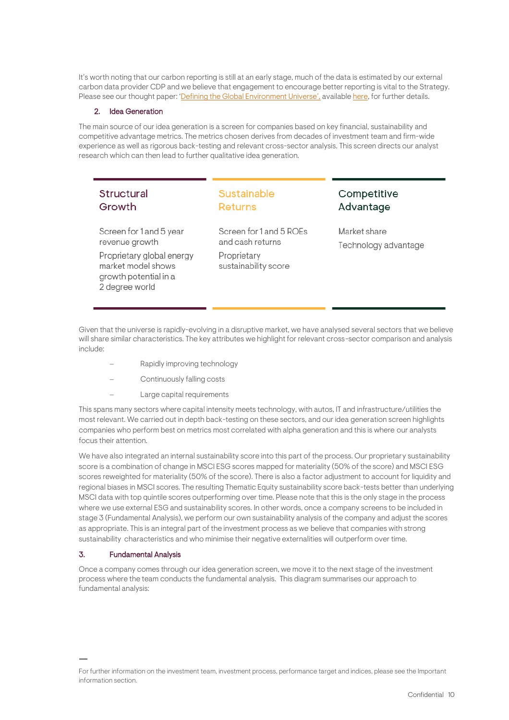It's worth noting that our carbon reporting is still at an early stage, much of the data is estimated by our external carbon data provider CDP and we believe that engagement to encourage better reporting is vital to the Strategy. Please see our thought paper: ['Defining the Global Environment Universe',](https://ninetyone.com/united-kingdom/how-we-think/insights/defining-the-global-environment-universe) availabl[e here,](https://ninetyone.com/united-kingdom/how-we-think/insights/defining-the-global-environment-universe) for further details.

# 2. Idea Generation

The main source of our idea generation is a screen for companies based on key financial, sustainability and competitive advantage metrics. The metrics chosen derives from decades of investment team and firm-wide experience as well as rigorous back-testing and relevant cross-sector analysis. This screen directs our analyst research which can then lead to further qualitative idea generation.

# Structural Growth

# Sustainable **Returns**

Screen for 1 and 5 year revenue growth

Proprietary global energy market model shows growth potential in a 2 degree world

Screen for 1 and 5 ROEs and cash returns Proprietary

sustainability score

Competitive Advantage

Market share Technology advantage

Given that the universe is rapidly-evolving in a disruptive market, we have analysed several sectors that we believe will share similar characteristics. The key attributes we highlight for relevant cross-sector comparison and analysis include:

- Rapidly improving technology
- Continuously falling costs
- Large capital requirements

This spans many sectors where capital intensity meets technology, with autos, IT and infrastructure/utilities the most relevant. We carried out in depth back-testing on these sectors, and our idea generation screen highlights companies who perform best on metrics most correlated with alpha generation and this is where our analysts focus their attention.

We have also integrated an internal sustainability score into this part of the process. Our proprietary sustainability score is a combination of change in MSCI ESG scores mapped for materiality (50% of the score) and MSCI ESG scores reweighted for materiality (50% of the score). There is also a factor adjustment to account for liquidity and regional biases in MSCI scores. The resulting Thematic Equity sustainability score back-tests better than underlying MSCI data with top quintile scores outperforming over time. Please note that this is the only stage in the process where we use external ESG and sustainability scores. In other words, once a company screens to be included in stage 3 (Fundamental Analysis), we perform our own sustainability analysis of the company and adjust the scores as appropriate. This is an integral part of the investment process as we believe that companies with strong sustainability characteristics and who minimise their negative externalities will outperform over time.

## 3. Fundamental Analysis

Once a company comes through our idea generation screen, we move it to the next stage of the investment process where the team conducts the fundamental analysis. This diagram summarises our approach to fundamental analysis:

For further information on the investment team, investment process, performance target and indices, please see the Important information section.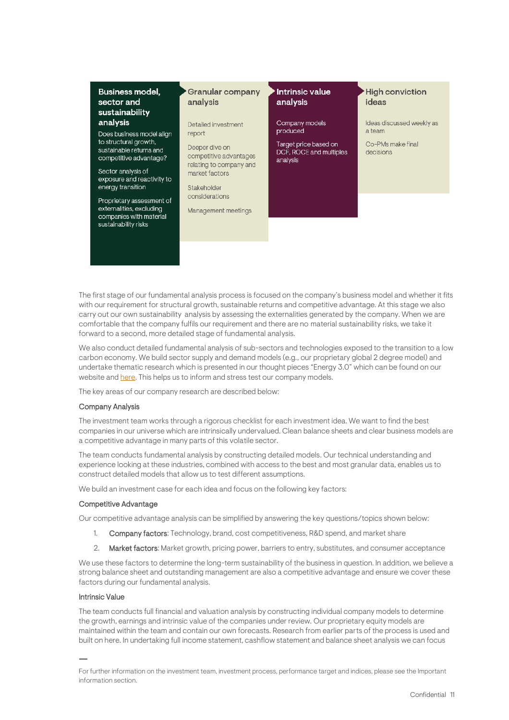| <b>Business model,</b><br>sector and<br>sustainability                                                                                              | <b>Granular company</b><br>analysis                                                                                                           | <b>Intrinsic value</b><br>analysis                           | <b>High conviction</b><br>ideas     |
|-----------------------------------------------------------------------------------------------------------------------------------------------------|-----------------------------------------------------------------------------------------------------------------------------------------------|--------------------------------------------------------------|-------------------------------------|
| analysis<br>Does business model align                                                                                                               | Detailed investment<br>report                                                                                                                 | Company models<br>produced                                   | Ideas discussed weekly as<br>a team |
| to structural growth.<br>sustainable returns and<br>competitive advantage?<br>Sector analysis of<br>exposure and reactivity to<br>energy transition | Deeper dive on<br>competitive advantages<br>relating to company and<br>market factors<br>Stakeholder<br>considerations<br>Management meetings | Target price based on<br>DCF, ROCE and multiples<br>analysis | Co-PMs make final<br>decisions      |
| Proprietary assessment of<br>externalities, excluding<br>companies with material<br>sustainability risks                                            |                                                                                                                                               |                                                              |                                     |

The first stage of our fundamental analysis process is focused on the company's business model and whether it fits with our requirement for structural growth, sustainable returns and competitive advantage. At this stage we also carry out our own sustainability analysis by assessing the externalities generated by the company. When we are comfortable that the company fulfils our requirement and there are no material sustainability risks, we take it forward to a second, more detailed stage of fundamental analysis.

We also conduct detailed fundamental analysis of sub-sectors and technologies exposed to the transition to a low carbon economy. We build sector supply and demand models (e.g., our proprietary global 2 degree model) and undertake thematic research which is presented in our thought pieces "Energy 3.0" which can be found on our website an[d here.](https://ninetyone.com/united-kingdom/-/media/documents/insights/91-energy-3-0-understanding-climate-risk-white-paper-en.pdf) This helps us to inform and stress test our company models.

The key areas of our company research are described below:

## Company Analysis

The investment team works through a rigorous checklist for each investment idea. We want to find the best companies in our universe which are intrinsically undervalued. Clean balance sheets and clear business models are a competitive advantage in many parts of this volatile sector.

The team conducts fundamental analysis by constructing detailed models. Our technical understanding and experience looking at these industries, combined with access to the best and most granular data, enables us to construct detailed models that allow us to test different assumptions.

We build an investment case for each idea and focus on the following key factors:

#### Competitive Advantage

Our competitive advantage analysis can be simplified by answering the key questions/topics shown below:

- 1. Company factors: Technology, brand, cost competitiveness, R&D spend, and market share
- 2. Market factors: Market growth, pricing power, barriers to entry, substitutes, and consumer acceptance

We use these factors to determine the long-term sustainability of the business in question. In addition, we believe a strong balance sheet and outstanding management are also a competitive advantage and ensure we cover these factors during our fundamental analysis.

#### Intrinsic Value

The team conducts full financial and valuation analysis by constructing individual company models to determine the growth, earnings and intrinsic value of the companies under review. Our proprietary equity models are maintained within the team and contain our own forecasts. Research from earlier parts of the process is used and built on here. In undertaking full income statement, cashflow statement and balance sheet analysis we can focus

For further information on the investment team, investment process, performance target and indices, please see the Important information section.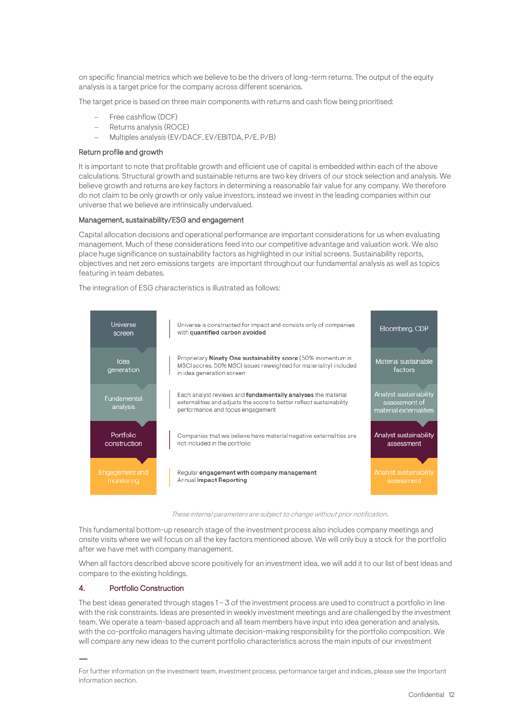on specific financial metrics which we believe to be the drivers of long-term returns. The output of the equity analysis is a target price for the company across different scenarios.

The target price is based on three main components with returns and cash flow being prioritised:

- Free cashflow (DCF)
- − Returns analysis (ROCE)
- − Multiples analysis (EV/DACF, EV/EBITDA, P/E, P/B)

#### Return profile and growth

It is important to note that profitable growth and efficient use of capital is embedded within each of the above calculations. Structural growth and sustainable returns are two key drivers of our stock selection and analysis. We believe growth and returns are key factors in determining a reasonable fair value for any company. We therefore do not claim to be only growth or only value investors, instead we invest in the leading companies within our universe that we believe are intrinsically undervalued.

## Management, sustainability/ESG and engagement

Capital allocation decisions and operational performance are important considerations for us when evaluating management. Much of these considerations feed into our competitive advantage and valuation work. We also place huge significance on sustainability factors as highlighted in our initial screens. Sustainability reports, objectives and net zero emissions targets are important throughout our fundamental analysis as well as topics featuring in team debates.

The integration of ESG characteristics is illustrated as follows:



These internal parameters are subject to change without prior notification.

This fundamental bottom-up research stage of the investment process also includes company meetings and onsite visits where we will focus on all the key factors mentioned above. We will only buy a stock for the portfolio after we have met with company management.

When all factors described above score positively for an investment idea, we will add it to our list of best ideas and compare to the existing holdings.

#### 4. Portfolio Construction

The best ideas generated through stages 1 – 3 of the investment process are used to construct a portfolio in line with the risk constraints. Ideas are presented in weekly investment meetings and are challenged by the investment team. We operate a team-based approach and all team members have input into idea generation and analysis, with the co-portfolio managers having ultimate decision-making responsibility for the portfolio composition. We will compare any new ideas to the current portfolio characteristics across the main inputs of our investment

For further information on the investment team, investment process, performance target and indices, please see the Important information section.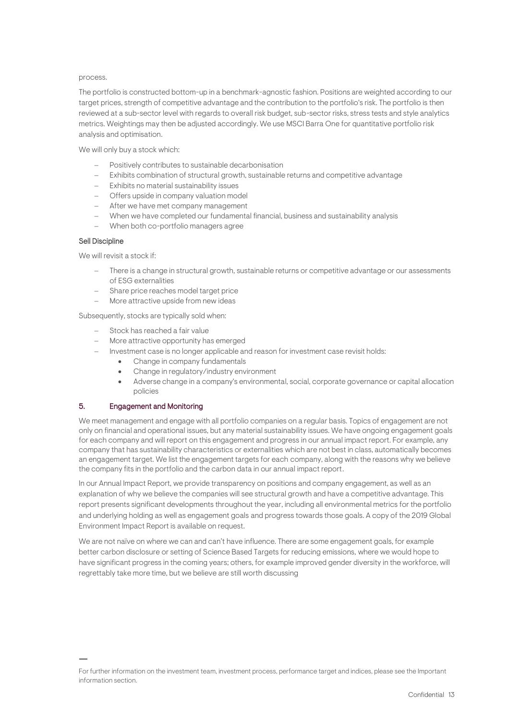#### process.

The portfolio is constructed bottom-up in a benchmark-agnostic fashion. Positions are weighted according to our target prices, strength of competitive advantage and the contribution to the portfolio's risk. The portfolio is then reviewed at a sub-sector level with regards to overall risk budget, sub-sector risks, stress tests and style analytics metrics. Weightings may then be adjusted accordingly. We use MSCI Barra One for quantitative portfolio risk analysis and optimisation.

We will only buy a stock which:

- − Positively contributes to sustainable decarbonisation
- − Exhibits combination of structural growth, sustainable returns and competitive advantage
- − Exhibits no material sustainability issues
- − Offers upside in company valuation model
- After we have met company management
- − When we have completed our fundamental financial, business and sustainability analysis
- − When both co-portfolio managers agree

## Sell Discipline

We will revisit a stock if:

- There is a change in structural growth, sustainable returns or competitive advantage or our assessments of ESG externalities
- − Share price reaches model target price
- − More attractive upside from new ideas

Subsequently, stocks are typically sold when:

- Stock has reached a fair value
- More attractive opportunity has emerged
- − Investment case is no longer applicable and reason for investment case revisit holds:
	- Change in company fundamentals
	- Change in regulatory/industry environment
	- Adverse change in a company's environmental, social, corporate governance or capital allocation policies

# 5. Engagement and Monitoring

We meet management and engage with all portfolio companies on a regular basis. Topics of engagement are not only on financial and operational issues, but any material sustainability issues. We have ongoing engagement goals for each company and will report on this engagement and progress in our annual impact report. For example, any company that has sustainability characteristics or externalities which are not best in class, automatically becomes an engagement target. We list the engagement targets for each company, along with the reasons why we believe the company fits in the portfolio and the carbon data in our annual impact report.

In our Annual Impact Report, we provide transparency on positions and company engagement, as well as an explanation of why we believe the companies will see structural growth and have a competitive advantage. This report presents significant developments throughout the year, including all environmental metrics for the portfolio and underlying holding as well as engagement goals and progress towards those goals. A copy of the 2019 Global Environment Impact Report is available on request.

We are not naïve on where we can and can't have influence. There are some engagement goals, for example better carbon disclosure or setting of Science Based Targets for reducing emissions, where we would hope to have significant progress in the coming years; others, for example improved gender diversity in the workforce, will regrettably take more time, but we believe are still worth discussing

For further information on the investment team, investment process, performance target and indices, please see the Important information section.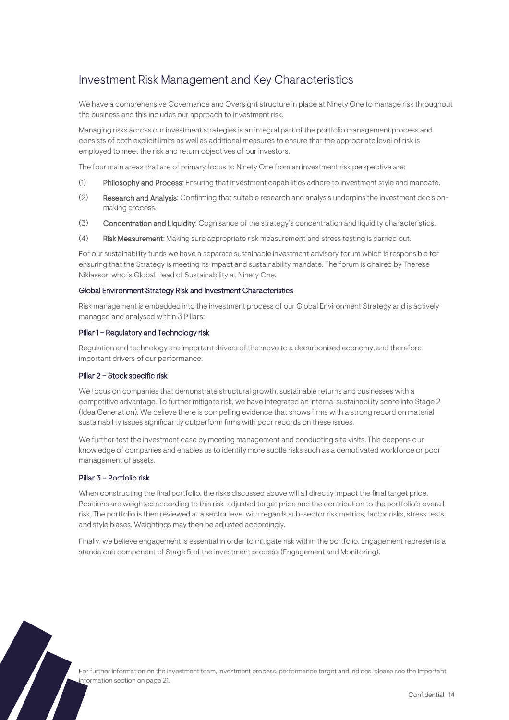# <span id="page-13-0"></span>Investment Risk Management and Key Characteristics

We have a comprehensive Governance and Oversight structure in place at Ninety One to manage risk throughout the business and this includes our approach to investment risk.

Managing risks across our investment strategies is an integral part of the portfolio management process and consists of both explicit limits as well as additional measures to ensure that the appropriate level of risk is employed to meet the risk and return objectives of our investors.

The four main areas that are of primary focus to Ninety One from an investment risk perspective are:

- (1) Philosophy and Process: Ensuring that investment capabilities adhere to investment style and mandate.
- (2) Research and Analysis: Confirming that suitable research and analysis underpins the investment decisionmaking process.
- (3) Concentration and Liquidity: Cognisance of the strategy's concentration and liquidity characteristics.
- (4) Risk Measurement: Making sure appropriate risk measurement and stress testing is carried out.

For our sustainability funds we have a separate sustainable investment advisory forum which is responsible for ensuring that the Strategy is meeting its impact and sustainability mandate. The forum is chaired by Therese Niklasson who is Global Head of Sustainability at Ninety One.

#### Global Environment Strategy Risk and Investment Characteristics

Risk management is embedded into the investment process of our Global Environment Strategy and is actively managed and analysed within 3 Pillars:

## Pillar 1 – Regulatory and Technology risk

Regulation and technology are important drivers of the move to a decarbonised economy, and therefore important drivers of our performance.

#### Pillar 2 – Stock specific risk

We focus on companies that demonstrate structural growth, sustainable returns and businesses with a competitive advantage. To further mitigate risk, we have integrated an internal sustainability score into Stage 2 (Idea Generation). We believe there is compelling evidence that shows firms with a strong record on material sustainability issues significantly outperform firms with poor records on these issues.

We further test the investment case by meeting management and conducting site visits. This deepens our knowledge of companies and enables us to identify more subtle risks such as a demotivated workforce or poor management of assets.

## Pillar 3 – Portfolio risk

When constructing the final portfolio, the risks discussed above will all directly impact the final target price. Positions are weighted according to this risk-adjusted target price and the contribution to the portfolio's overall risk. The portfolio is then reviewed at a sector level with regards sub-sector risk metrics, factor risks, stress tests and style biases. Weightings may then be adjusted accordingly.

Finally, we believe engagement is essential in order to mitigate risk within the portfolio. Engagement represents a standalone component of Stage 5 of the investment process (Engagement and Monitoring).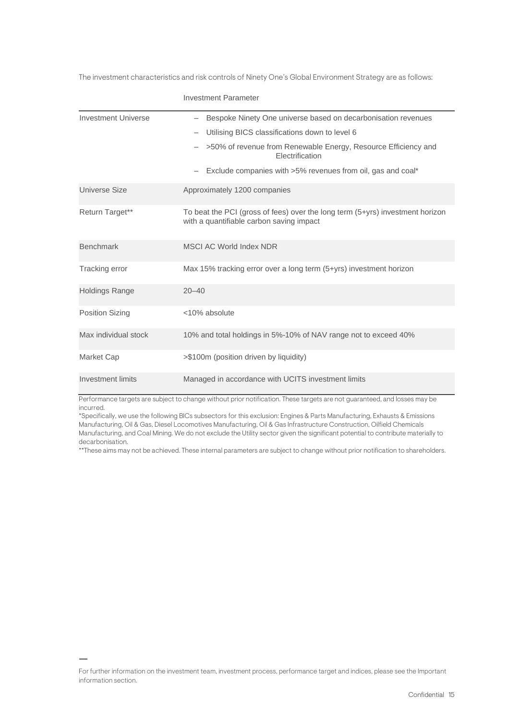The investment characteristics and risk controls of Ninety One's Global Environment Strategy are as follows:

|                            | <b>Investment Parameter</b>                                                                                               |
|----------------------------|---------------------------------------------------------------------------------------------------------------------------|
| <b>Investment Universe</b> | - Bespoke Ninety One universe based on decarbonisation revenues                                                           |
|                            | Utilising BICS classifications down to level 6                                                                            |
|                            | >50% of revenue from Renewable Energy, Resource Efficiency and<br>Electrification                                         |
|                            | Exclude companies with >5% revenues from oil, gas and coal*                                                               |
| Universe Size              | Approximately 1200 companies                                                                                              |
| Return Target**            | To beat the PCI (gross of fees) over the long term (5+yrs) investment horizon<br>with a quantifiable carbon saving impact |
| <b>Benchmark</b>           | MSCI AC World Index NDR                                                                                                   |
| Tracking error             | Max 15% tracking error over a long term (5+yrs) investment horizon                                                        |
| <b>Holdings Range</b>      | $20 - 40$                                                                                                                 |
| <b>Position Sizing</b>     | <10% absolute                                                                                                             |
| Max individual stock       | 10% and total holdings in 5%-10% of NAV range not to exceed 40%                                                           |
| Market Cap                 | >\$100m (position driven by liquidity)                                                                                    |
| Investment limits          | Managed in accordance with UCITS investment limits                                                                        |

Performance targets are subject to change without prior notification. These targets are not guaranteed, and losses may be incurred.

\*Specifically, we use the following BICs subsectors for this exclusion: Engines & Parts Manufacturing, Exhausts & Emissions Manufacturing, Oil & Gas, Diesel Locomotives Manufacturing, Oil & Gas Infrastructure Construction, Oilfield Chemicals Manufacturing, and Coal Mining. We do not exclude the Utility sector given the significant potential to contribute materially to decarbonisation.

\*\*These aims may not be achieved. These internal parameters are subject to change without prior notification to shareholders.

For further information on the investment team, investment process, performance target and indices, please see the Important information section.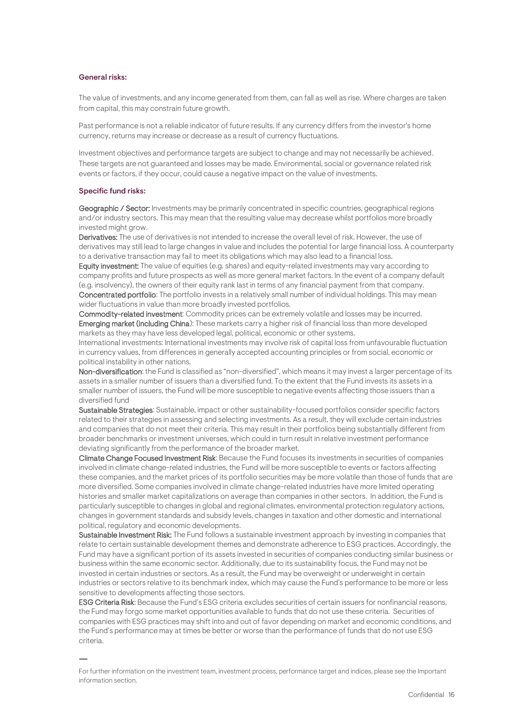#### General risks:

The value of investments, and any income generated from them, can fall as well as rise. Where charges are taken from capital, this may constrain future growth.

Past performance is not a reliable indicator of future results. If any currency differs from the investor's home currency, returns may increase or decrease as a result of currency fluctuations.

Investment objectives and performance targets are subject to change and may not necessarily be achieved. These targets are not guaranteed and losses may be made. Environmental, social or governance related risk events or factors, if they occur, could cause a negative impact on the value of investments.

#### Specific fund risks:

Geographic / Sector: Investments may be primarily concentrated in specific countries, geographical regions and/or industry sectors. This may mean that the resulting value may decrease whilst portfolios more broadly invested might grow.

Derivatives: The use of derivatives is not intended to increase the overall level of risk. However, the use of derivatives may still lead to large changes in value and includes the potential for large financial loss. A counterparty to a derivative transaction may fail to meet its obligations which may also lead to a financial loss.

Equity investment: The value of equities (e.g. shares) and equity-related investments may vary according to company profits and future prospects as well as more general market factors. In the event of a company default (e.g. insolvency), the owners of their equity rank last in terms of any financial payment from that company. Concentrated portfolio: The portfolio invests in a relatively small number of individual holdings. This may mean wider fluctuations in value than more broadly invested portfolios.

Commodity-related investment: Commodity prices can be extremely volatile and losses may be incurred. Emerging market (including China): These markets carry a higher risk of financial loss than more developed markets as they may have less developed legal, political, economic or other systems.

International investments: International investments may involve risk of capital loss from unfavourable fluctuation in currency values, from differences in generally accepted accounting principles or from social, economic or political instability in other nations.

Non-diversification: the Fund is classified as "non-diversified", which means it may invest a larger percentage of its assets in a smaller number of issuers than a diversified fund. To the extent that the Fund invests its assets in a smaller number of issuers, the Fund will be more susceptible to negative events affecting those issuers than a diversified fund

Sustainable Strategies: Sustainable, impact or other sustainability-focused portfolios consider specific factors related to their strategies in assessing and selecting investments. As a result, they will exclude certain industries and companies that do not meet their criteria. This may result in their portfolios being substantially different from broader benchmarks or investment universes, which could in turn result in relative investment performance deviating significantly from the performance of the broader market.

Climate Change Focused Investment Risk: Because the Fund focuses its investments in securities of companies involved in climate change-related industries, the Fund will be more susceptible to events or factors affecting these companies, and the market prices of its portfolio securities may be more volatile than those of funds that are more diversified. Some companies involved in climate change-related industries have more limited operating histories and smaller market capitalizations on average than companies in other sectors. In addition, the Fund is particularly susceptible to changes in global and regional climates, environmental protection regulatory actions, changes in government standards and subsidy levels, changes in taxation and other domestic and international political, regulatory and economic developments.

Sustainable Investment Risk: The Fund follows a sustainable investment approach by investing in companies that relate to certain sustainable development themes and demonstrate adherence to ESG practices. Accordingly, the Fund may have a significant portion of its assets invested in securities of companies conducting similar business or business within the same economic sector. Additionally, due to its sustainability focus, the Fund may not be invested in certain industries or sectors. As a result, the Fund may be overweight or underweight in certain industries or sectors relative to its benchmark index, which may cause the Fund's performance to be more or less sensitive to developments affecting those sectors.

ESG Criteria Risk: Because the Fund's ESG criteria excludes securities of certain issuers for nonfinancial reasons, the Fund may forgo some market opportunities available to funds that do not use these criteria. Securities of companies with ESG practices may shift into and out of favor depending on market and economic conditions, and the Fund's performance may at times be better or worse than the performance of funds that do not use ESG criteria.

For further information on the investment team, investment process, performance target and indices, please see the Important information section.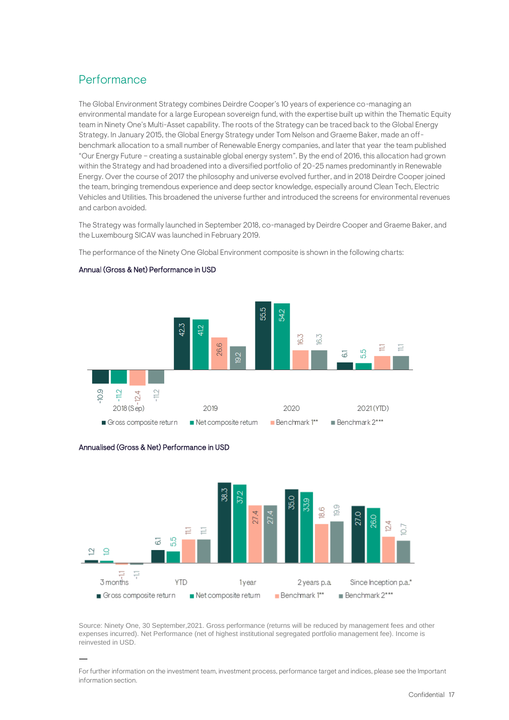# <span id="page-16-0"></span>Performance

The Global Environment Strategy combines Deirdre Cooper's 10 years of experience co-managing an environmental mandate for a large European sovereign fund, with the expertise built up within the Thematic Equity team in Ninety One's Multi-Asset capability. The roots of the Strategy can be traced back to the Global Energy Strategy. In January 2015, the Global Energy Strategy under Tom Nelson and Graeme Baker, made an offbenchmark allocation to a small number of Renewable Energy companies, and later that year the team published "Our Energy Future – creating a sustainable global energy system". By the end of 2016, this allocation had grown within the Strategy and had broadened into a diversified portfolio of 20-25 names predominantly in Renewable Energy. Over the course of 2017 the philosophy and universe evolved further, and in 2018 Deirdre Cooper joined the team, bringing tremendous experience and deep sector knowledge, especially around Clean Tech, Electric Vehicles and Utilities. This broadened the universe further and introduced the screens for environmental revenues and carbon avoided.

The Strategy was formally launched in September 2018, co-managed by Deirdre Cooper and Graeme Baker, and the Luxembourg SICAV was launched in February 2019.

The performance of the Ninety One Global Environment composite is shown in the following charts:



# Annual (Gross & Net) Performance in USD



Annualised (Gross & Net) Performance in USD

Source: Ninety One, 30 September,2021. Gross performance (returns will be reduced by management fees and other expenses incurred). Net Performance (net of highest institutional segregated portfolio management fee). Income is reinvested in USD.

For further information on the investment team, investment process, performance target and indices, please see the Important information section.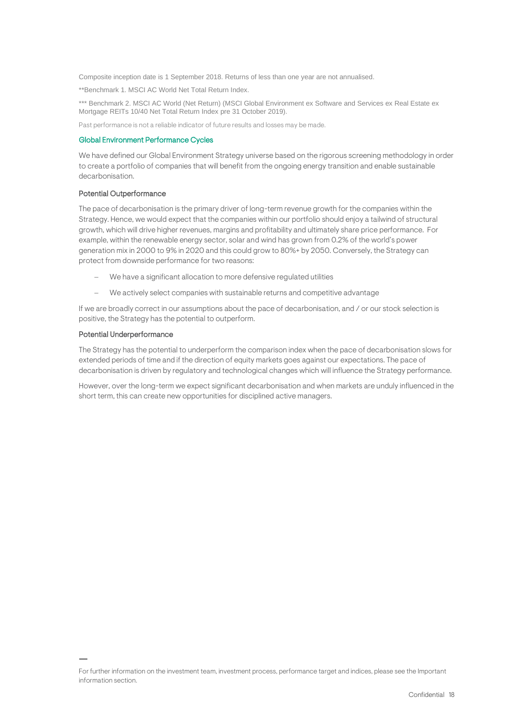Composite inception date is 1 September 2018. Returns of less than one year are not annualised.

\*\*Benchmark 1. MSCI AC World Net Total Return Index.

\*\*\* Benchmark 2. MSCI AC World (Net Return) (MSCI Global Environment ex Software and Services ex Real Estate ex Mortgage REITs 10/40 Net Total Return Index pre 31 October 2019).

Past performance is not a reliable indicator of future results and losses may be made.

## Global Environment Performance Cycles

We have defined our Global Environment Strategy universe based on the rigorous screening methodology in order to create a portfolio of companies that will benefit from the ongoing energy transition and enable sustainable decarbonisation.

## Potential Outperformance

The pace of decarbonisation is the primary driver of long-term revenue growth for the companies within the Strategy. Hence, we would expect that the companies within our portfolio should enjoy a tailwind of structural growth, which will drive higher revenues, margins and profitability and ultimately share price performance. For example, within the renewable energy sector, solar and wind has grown from 0.2% of the world's power generation mix in 2000 to 9% in 2020 and this could grow to 80%+ by 2050. Conversely, the Strategy can protect from downside performance for two reasons:

- We have a significant allocation to more defensive regulated utilities
- We actively select companies with sustainable returns and competitive advantage

If we are broadly correct in our assumptions about the pace of decarbonisation, and / or our stock selection is positive, the Strategy has the potential to outperform.

# Potential Underperformance

The Strategy has the potential to underperform the comparison index when the pace of decarbonisation slows for extended periods of time and if the direction of equity markets goes against our expectations. The pace of decarbonisation is driven by regulatory and technological changes which will influence the Strategy performance.

However, over the long-term we expect significant decarbonisation and when markets are unduly influenced in the short term, this can create new opportunities for disciplined active managers.

For further information on the investment team, investment process, performance target and indices, please see the Important information section.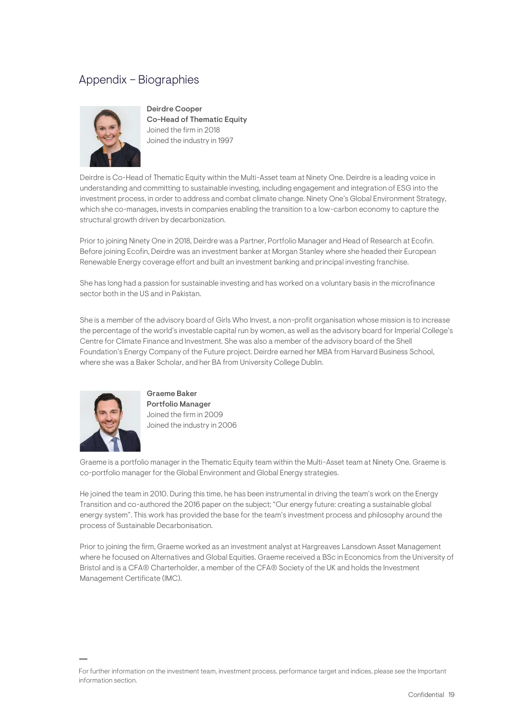# <span id="page-18-0"></span>Appendix – Biographies



<span id="page-18-1"></span>Deirdre Cooper Co-Head of Thematic Equity Joined the firm in 2018 Joined the industry in 1997

Deirdre is Co-Head of Thematic Equity within the Multi-Asset team at Ninety One. Deirdre is a leading voice in understanding and committing to sustainable investing, including engagement and integration of ESG into the investment process, in order to address and combat climate change. Ninety One's Global Environment Strategy, which she co-manages, invests in companies enabling the transition to a low-carbon economy to capture the structural growth driven by decarbonization.

Prior to joining Ninety One in 2018, Deirdre was a Partner, Portfolio Manager and Head of Research at Ecofin. Before joining Ecofin, Deirdre was an investment banker at Morgan Stanley where she headed their European Renewable Energy coverage effort and built an investment banking and principal investing franchise.

She has long had a passion for sustainable investing and has worked on a voluntary basis in the microfinance sector both in the US and in Pakistan.

She is a member of the advisory board of Girls Who Invest, a non-profit organisation whose mission is to increase the percentage of the world's investable capital run by women, as well as the advisory board for Imperial College's Centre for Climate Finance and Investment. She was also a member of the advisory board of the Shell Foundation's Energy Company of the Future project. Deirdre earned her MBA from Harvard Business School, where she was a Baker Scholar, and her BA from University College Dublin.



Graeme Baker Portfolio Manager Joined the firm in 2009 Joined the industry in 2006

Graeme is a portfolio manager in the Thematic Equity team within the Multi-Asset team at Ninety One. Graeme is co-portfolio manager for the Global Environment and Global Energy strategies.

He joined the team in 2010. During this time, he has been instrumental in driving the team's work on the Energy Transition and co-authored the 2016 paper on the subject; "Our energy future: creating a sustainable global energy system". This work has provided the base for the team's investment process and philosophy around the process of Sustainable Decarbonisation.

Prior to joining the firm, Graeme worked as an investment analyst at Hargreaves Lansdown Asset Management where he focused on Alternatives and Global Equities. Graeme received a BSc in Economics from the University of Bristol and is a CFA® Charterholder, a member of the CFA® Society of the UK and holds the Investment Management Certificate (IMC).

For further information on the investment team, investment process, performance target and indices, please see the Important information section.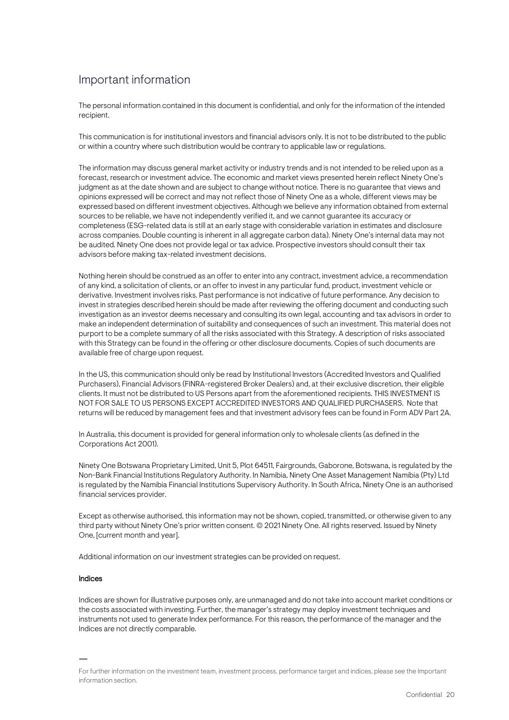# Important information

The personal information contained in this document is confidential, and only for the information of the intended recipient.

This communication is for institutional investors and financial advisors only. It is not to be distributed to the public or within a country where such distribution would be contrary to applicable law or regulations.

The information may discuss general market activity or industry trends and is not intended to be relied upon as a forecast, research or investment advice. The economic and market views presented herein reflect Ninety One's judgment as at the date shown and are subject to change without notice. There is no guarantee that views and opinions expressed will be correct and may not reflect those of Ninety One as a whole, different views may be expressed based on different investment objectives. Although we believe any information obtained from external sources to be reliable, we have not independently verified it, and we cannot guarantee its accuracy or completeness (ESG-related data is still at an early stage with considerable variation in estimates and disclosure across companies. Double counting is inherent in all aggregate carbon data). Ninety One's internal data may not be audited. Ninety One does not provide legal or tax advice. Prospective investors should consult their tax advisors before making tax-related investment decisions.

Nothing herein should be construed as an offer to enter into any contract, investment advice, a recommendation of any kind, a solicitation of clients, or an offer to invest in any particular fund, product, investment vehicle or derivative. Investment involves risks. Past performance is not indicative of future performance. Any decision to invest in strategies described herein should be made after reviewing the offering document and conducting such investigation as an investor deems necessary and consulting its own legal, accounting and tax advisors in order to make an independent determination of suitability and consequences of such an investment. This material does not purport to be a complete summary of all the risks associated with this Strategy. A description of risks associated with this Strategy can be found in the offering or other disclosure documents. Copies of such documents are available free of charge upon request.

In the US, this communication should only be read by Institutional Investors (Accredited Investors and Qualified Purchasers), Financial Advisors (FINRA-registered Broker Dealers) and, at their exclusive discretion, their eligible clients. It must not be distributed to US Persons apart from the aforementioned recipients. THIS INVESTMENT IS NOT FOR SALE TO US PERSONS EXCEPT ACCREDITED INVESTORS AND QUALIFIED PURCHASERS. Note that returns will be reduced by management fees and that investment advisory fees can be found in Form ADV Part 2A.

In Australia, this document is provided for general information only to wholesale clients (as defined in the Corporations Act 2001).

Ninety One Botswana Proprietary Limited, Unit 5, Plot 64511, Fairgrounds, Gaborone, Botswana, is regulated by the Non-Bank Financial Institutions Regulatory Authority. In Namibia, Ninety One Asset Management Namibia (Pty) Ltd is regulated by the Namibia Financial Institutions Supervisory Authority. In South Africa, Ninety One is an authorised financial services provider.

Except as otherwise authorised, this information may not be shown, copied, transmitted, or otherwise given to any third party without Ninety One's prior written consent. © 2021 Ninety One. All rights reserved. Issued by Ninety One, [current month and year].

Additional information on our investment strategies can be provided on request.

#### Indices

Indices are shown for illustrative purposes only, are unmanaged and do not take into account market conditions or the costs associated with investing. Further, the manager's strategy may deploy investment techniques and instruments not used to generate Index performance. For this reason, the performance of the manager and the Indices are not directly comparable.

For further information on the investment team, investment process, performance target and indices, please see the Important information section.